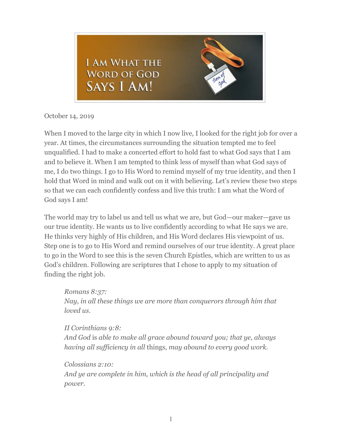

October 14, 2019

When I moved to the large city in which I now live, I looked for the right job for over a year. At times, the circumstances surrounding the situation tempted me to feel unqualified. I had to make a concerted effort to hold fast to what God says that I am and to believe it. When I am tempted to think less of myself than what God says of me, I do two things. I go to His Word to remind myself of my true identity, and then I hold that Word in mind and walk out on it with believing. Let's review these two steps so that we can each confidently confess and live this truth: I am what the Word of God says I am!

The world may try to label us and tell us what we are, but God—our maker—gave us our true identity. He wants us to live confidently according to what He says we are. He thinks very highly of His children, and His Word declares His viewpoint of us. Step one is to go to His Word and remind ourselves of our true identity. A great place to go in the Word to see this is the seven Church Epistles, which are written to us as God's children. Following are scriptures that I chose to apply to my situation of finding the right job.

*Romans 8:37: Nay, in all these things we are more than conquerors through him that loved us.*

*II Corinthians 9:8: And God* is *able to make all grace abound toward you; that ye, always having all sufficiency in all* things, *may abound to every good work.*

*Colossians 2:10: And ye are complete in him, which is the head of all principality and power.*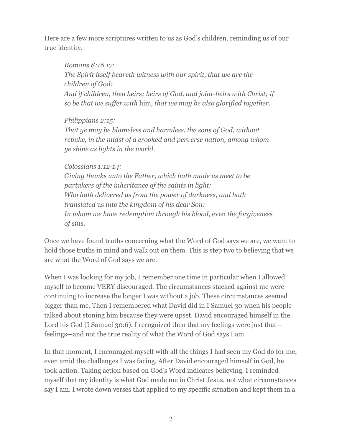Here are a few more scriptures written to us as God's children, reminding us of our true identity.

*Romans 8:16,17: The Spirit itself beareth witness with our spirit, that we are the children of God: And if children, then heirs; heirs of God, and joint-heirs with Christ; if so be that we suffer with* him, *that we may be also glorified together.*

*Philippians 2:15: That ye may be blameless and harmless, the sons of God, without rebuke, in the midst of a crooked and perverse nation, among whom ye shine as lights in the world.*

*Colossians 1:12-14: Giving thanks unto the Father, which hath made us meet to be partakers of the inheritance of the saints in light: Who hath delivered us from the power of darkness, and hath translated* us *into the kingdom of his dear Son: In whom we have redemption through his blood,* even *the forgiveness of sins.*

Once we have found truths concerning what the Word of God says we are, we want to hold those truths in mind and walk out on them. This is step two to believing that we are what the Word of God says we are.

When I was looking for my job, I remember one time in particular when I allowed myself to become VERY discouraged. The circumstances stacked against me were continuing to increase the longer I was without a job. These circumstances seemed bigger than me. Then I remembered what David did in I Samuel 30 when his people talked about stoning him because they were upset. David encouraged himself in the Lord his God (I Samuel 30:6). I recognized then that my feelings were just that feelings—and not the true reality of what the Word of God says I am.

In that moment, I encouraged myself with all the things I had seen my God do for me, even amid the challenges I was facing. After David encouraged himself in God, he took action. Taking action based on God's Word indicates believing. I reminded myself that my identity is what God made me in Christ Jesus, not what circumstances say I am. I wrote down verses that applied to my specific situation and kept them in a